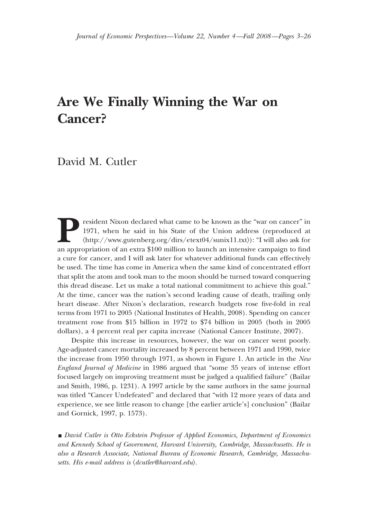# **Are We Finally Winning the War on Cancer?**

## David M. Cutler

**President Nixon declared what came to be known as the "war on cancer" in 1971, when he said in his State of the Union address (reproduced at**  $\langle \text{http://www.gutenberg.org/dirs/etext04/sunix11.txt}\rangle$ **): "I will also ask for an appropriation of an extra** 1971, when he said in his State of the Union address (reproduced at (http://www.gutenberg.org/dirs/etext04/sunix11.txt)): "I will also ask for a cure for cancer, and I will ask later for whatever additional funds can effectively be used. The time has come in America when the same kind of concentrated effort that split the atom and took man to the moon should be turned toward conquering this dread disease. Let us make a total national commitment to achieve this goal." At the time, cancer was the nation's second leading cause of death, trailing only heart disease. After Nixon's declaration, research budgets rose five-fold in real terms from 1971 to 2005 (National Institutes of Health, 2008). Spending on cancer treatment rose from \$15 billion in 1972 to \$74 billion in 2005 (both in 2005 dollars), a 4 percent real per capita increase (National Cancer Institute, 2007).

Despite this increase in resources, however, the war on cancer went poorly. Age-adjusted cancer mortality increased by 8 percent between 1971 and 1990, twice the increase from 1950 through 1971, as shown in Figure 1. An article in the *New England Journal of Medicine* in 1986 argued that "some 35 years of intense effort focused largely on improving treatment must be judged a qualified failure" (Bailar and Smith, 1986, p. 1231). A 1997 article by the same authors in the same journal was titled "Cancer Undefeated" and declared that "with 12 more years of data and experience, we see little reason to change [the earlier article's] conclusion" (Bailar and Gornick, 1997, p. 1573).

**David Cutler is Otto Eckstein Professor of Applied Economics, Department of Economics** *and Kennedy School of Government, Harvard University, Cambridge, Massachusetts. He is also a Research Associate, National Bureau of Economic Research, Cambridge, Massachu*setts. His e-mail address is  $\langle \text{d}cut \text{ler@harvard}. \text{edu} \rangle$ .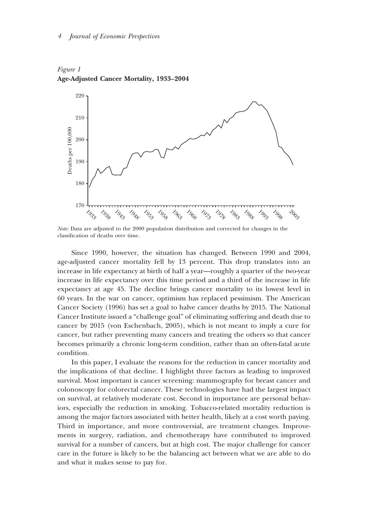



*Note:* Data are adjusted to the 2000 population distribution and corrected for changes in the classification of deaths over time.

Since 1990, however, the situation has changed. Between 1990 and 2004, age-adjusted cancer mortality fell by 13 percent. This drop translates into an increase in life expectancy at birth of half a year—roughly a quarter of the two-year increase in life expectancy over this time period and a third of the increase in life expectancy at age 45. The decline brings cancer mortality to its lowest level in 60 years. In the war on cancer, optimism has replaced pessimism. The American Cancer Society (1996) has set a goal to halve cancer deaths by 2015. The National Cancer Institute issued a "challenge goal" of eliminating suffering and death due to cancer by 2015 (von Eschenbach, 2005), which is not meant to imply a cure for cancer, but rather preventing many cancers and treating the others so that cancer becomes primarily a chronic long-term condition, rather than an often-fatal acute condition.

In this paper, I evaluate the reasons for the reduction in cancer mortality and the implications of that decline. I highlight three factors as leading to improved survival. Most important is cancer screening: mammography for breast cancer and colonoscopy for colorectal cancer. These technologies have had the largest impact on survival, at relatively moderate cost. Second in importance are personal behaviors, especially the reduction in smoking. Tobacco-related mortality reduction is among the major factors associated with better health, likely at a cost worth paying. Third in importance, and more controversial, are treatment changes. Improvements in surgery, radiation, and chemotherapy have contributed to improved survival for a number of cancers, but at high cost. The major challenge for cancer care in the future is likely to be the balancing act between what we are able to do and what it makes sense to pay for.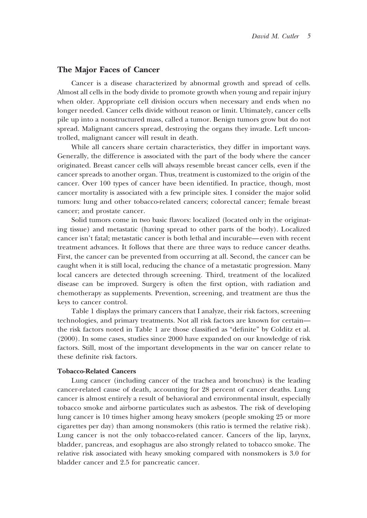### **The Major Faces of Cancer**

Cancer is a disease characterized by abnormal growth and spread of cells. Almost all cells in the body divide to promote growth when young and repair injury when older. Appropriate cell division occurs when necessary and ends when no longer needed. Cancer cells divide without reason or limit. Ultimately, cancer cells pile up into a nonstructured mass, called a tumor. Benign tumors grow but do not spread. Malignant cancers spread, destroying the organs they invade. Left uncontrolled, malignant cancer will result in death.

While all cancers share certain characteristics, they differ in important ways. Generally, the difference is associated with the part of the body where the cancer originated. Breast cancer cells will always resemble breast cancer cells, even if the cancer spreads to another organ. Thus, treatment is customized to the origin of the cancer. Over 100 types of cancer have been identified. In practice, though, most cancer mortality is associated with a few principle sites. I consider the major solid tumors: lung and other tobacco-related cancers; colorectal cancer; female breast cancer; and prostate cancer.

Solid tumors come in two basic flavors: localized (located only in the originating tissue) and metastatic (having spread to other parts of the body). Localized cancer isn't fatal; metastatic cancer is both lethal and incurable—even with recent treatment advances. It follows that there are three ways to reduce cancer deaths. First, the cancer can be prevented from occurring at all. Second, the cancer can be caught when it is still local, reducing the chance of a metastatic progression. Many local cancers are detected through screening. Third, treatment of the localized disease can be improved. Surgery is often the first option, with radiation and chemotherapy as supplements. Prevention, screening, and treatment are thus the keys to cancer control.

Table 1 displays the primary cancers that I analyze, their risk factors, screening technologies, and primary treatments. Not all risk factors are known for certain the risk factors noted in Table 1 are those classified as "definite" by Colditz et al. (2000). In some cases, studies since 2000 have expanded on our knowledge of risk factors. Still, most of the important developments in the war on cancer relate to these definite risk factors.

#### **Tobacco-Related Cancers**

Lung cancer (including cancer of the trachea and bronchus) is the leading cancer-related cause of death, accounting for 28 percent of cancer deaths. Lung cancer is almost entirely a result of behavioral and environmental insult, especially tobacco smoke and airborne particulates such as asbestos. The risk of developing lung cancer is 10 times higher among heavy smokers (people smoking 25 or more cigarettes per day) than among nonsmokers (this ratio is termed the relative risk). Lung cancer is not the only tobacco-related cancer. Cancers of the lip, larynx, bladder, pancreas, and esophagus are also strongly related to tobacco smoke. The relative risk associated with heavy smoking compared with nonsmokers is 3.0 for bladder cancer and 2.5 for pancreatic cancer.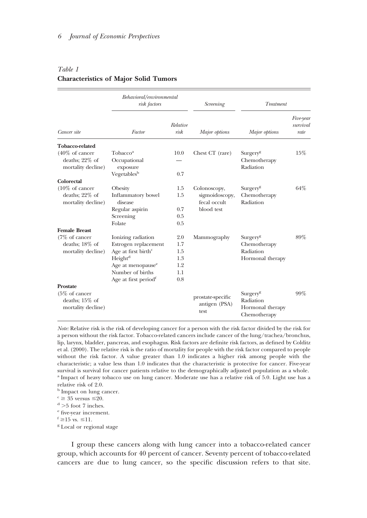|                                                                                  | Behavioral/environmental<br>risk factors                                                                                                                                                      |                                               | <b>Screening</b>                                             | Treatment                                                             |                               |
|----------------------------------------------------------------------------------|-----------------------------------------------------------------------------------------------------------------------------------------------------------------------------------------------|-----------------------------------------------|--------------------------------------------------------------|-----------------------------------------------------------------------|-------------------------------|
| Cancer site                                                                      | Factor                                                                                                                                                                                        | Relative<br>risk                              | Major options                                                | Major options                                                         | Five-year<br>survival<br>rate |
| <b>Tobacco-related</b>                                                           |                                                                                                                                                                                               |                                               |                                                              |                                                                       |                               |
| $(40\% \text{ of cancer})$<br>deaths; $22\%$ of<br>mortality decline)            | Tobacco <sup>a</sup><br>Occupational<br>exposure<br>Vegetables <sup>b</sup>                                                                                                                   | 10.0<br>0.7                                   | Chest CT (rare)                                              | Surgery <sup>g</sup><br>Chemotherapy<br>Radiation                     | 15%                           |
| Colorectal                                                                       |                                                                                                                                                                                               |                                               |                                                              |                                                                       |                               |
| $(10\% \text{ of cancer})$<br>deaths; 22% of<br>mortality decline)               | Obesity<br>Inflammatory bowel<br>disease<br>Regular aspirin<br>Screening<br>Folate                                                                                                            | 1.5<br>1.5<br>0.7<br>0.5<br>0.5               | Colonoscopy,<br>sigmoidoscopy,<br>fecal occult<br>blood test | Surgery <sup>g</sup><br>Chemotherapy<br>Radiation                     | 64%                           |
| <b>Female Breast</b>                                                             |                                                                                                                                                                                               |                                               |                                                              |                                                                       |                               |
| $(7\% \text{ of cancer})$<br>deaths; 18% of<br>mortality decline)                | Ionizing radiation<br>Estrogen replacement<br>Age at first birth <sup>c</sup><br>Height <sup>d</sup><br>Age at menopause <sup>e</sup><br>Number of births<br>Age at first period <sup>1</sup> | 2.0<br>1.7<br>1.5<br>1.3<br>1.2<br>1.1<br>0.8 | Mammography                                                  | Surgery <sup>g</sup><br>Chemotherapy<br>Radiation<br>Hormonal therapy | 89%                           |
| Prostate<br>$(5\% \text{ of cancer})$<br>deaths; $15\%$ of<br>mortality decline) |                                                                                                                                                                                               |                                               | prostate-specific<br>antigen (PSA)<br>test                   | Surgery <sup>g</sup><br>Radiation<br>Hormonal therapy<br>Chemotherapy | 99%                           |

## *Table 1* **Characteristics of Major Solid Tumors**

*Note:* Relative risk is the risk of developing cancer for a person with the risk factor divided by the risk for a person without the risk factor. Tobacco-related cancers include cancer of the lung/trachea/bronchus, lip, larynx, bladder, pancreas, and esophagus. Risk factors are definite risk factors, as defined by Colditz et al. (2000). The relative risk is the ratio of mortality for people with the risk factor compared to people without the risk factor. A value greater than 1.0 indicates a higher risk among people with the characteristic; a value less than 1.0 indicates that the characteristic is protective for cancer. Five-year survival is survival for cancer patients relative to the demographically adjusted population as a whole. <sup>a</sup> Impact of heavy tobacco use on lung cancer. Moderate use has a relative risk of 5.0. Light use has a relative risk of 2.0.

- <sup>b</sup> Impact on lung cancer.
- $c \geq 35$  versus  $\leq 20$ .
- $\rm ^d$  >5 foot 7 inches.
- <sup>e</sup> five-year increment.
- $f \geq 15$  vs.  $\leq 11$ .
- <sup>g</sup> Local or regional stage

I group these cancers along with lung cancer into a tobacco-related cancer group, which accounts for 40 percent of cancer. Seventy percent of tobacco-related cancers are due to lung cancer, so the specific discussion refers to that site.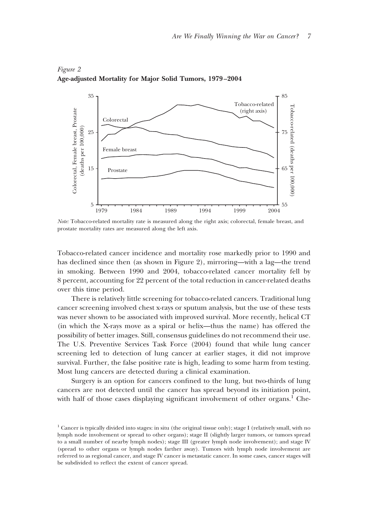

## *Figure 2* **Age-adjusted Mortality for Major Solid Tumors, 1979–2004**

*Note:* Tobacco-related mortality rate is measured along the right axis; colorectal, female breast, and prostate mortality rates are measured along the left axis.

Tobacco-related cancer incidence and mortality rose markedly prior to 1990 and has declined since then (as shown in Figure 2), mirroring—with a lag—the trend in smoking. Between 1990 and 2004, tobacco-related cancer mortality fell by 8 percent, accounting for 22 percent of the total reduction in cancer-related deaths over this time period.

There is relatively little screening for tobacco-related cancers. Traditional lung cancer screening involved chest x-rays or sputum analysis, but the use of these tests was never shown to be associated with improved survival. More recently, helical CT (in which the X-rays move as a spiral or helix—thus the name) has offered the possibility of better images. Still, consensus guidelines do not recommend their use. The U.S. Preventive Services Task Force (2004) found that while lung cancer screening led to detection of lung cancer at earlier stages, it did not improve survival. Further, the false positive rate is high, leading to some harm from testing. Most lung cancers are detected during a clinical examination.

Surgery is an option for cancers confined to the lung, but two-thirds of lung cancers are not detected until the cancer has spread beyond its initiation point, with half of those cases displaying significant involvement of other organs.<sup>1</sup> Che-

<sup>1</sup> Cancer is typically divided into stages: in situ (the original tissue only); stage I (relatively small, with no lymph node involvement or spread to other organs); stage II (slightly larger tumors, or tumors spread to a small number of nearby lymph nodes); stage III (greater lymph node involvement); and stage IV (spread to other organs or lymph nodes farther away). Tumors with lymph node involvement are referred to as regional cancer, and stage IV cancer is metastatic cancer. In some cases, cancer stages will be subdivided to reflect the extent of cancer spread.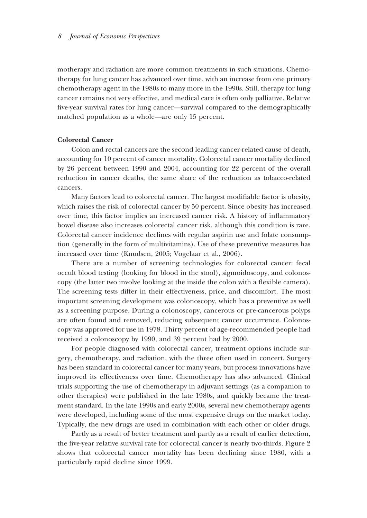motherapy and radiation are more common treatments in such situations. Chemotherapy for lung cancer has advanced over time, with an increase from one primary chemotherapy agent in the 1980s to many more in the 1990s. Still, therapy for lung cancer remains not very effective, and medical care is often only palliative. Relative five-year survival rates for lung cancer—survival compared to the demographically matched population as a whole—are only 15 percent.

#### **Colorectal Cancer**

Colon and rectal cancers are the second leading cancer-related cause of death, accounting for 10 percent of cancer mortality. Colorectal cancer mortality declined by 26 percent between 1990 and 2004, accounting for 22 percent of the overall reduction in cancer deaths, the same share of the reduction as tobacco-related cancers.

Many factors lead to colorectal cancer. The largest modifiable factor is obesity, which raises the risk of colorectal cancer by 50 percent. Since obesity has increased over time, this factor implies an increased cancer risk. A history of inflammatory bowel disease also increases colorectal cancer risk, although this condition is rare. Colorectal cancer incidence declines with regular aspirin use and folate consumption (generally in the form of multivitamins). Use of these preventive measures has increased over time (Knudsen, 2005; Vogelaar et al., 2006).

There are a number of screening technologies for colorectal cancer: fecal occult blood testing (looking for blood in the stool), sigmoidoscopy, and colonoscopy (the latter two involve looking at the inside the colon with a flexible camera). The screening tests differ in their effectiveness, price, and discomfort. The most important screening development was colonoscopy, which has a preventive as well as a screening purpose. During a colonoscopy, cancerous or pre-cancerous polyps are often found and removed, reducing subsequent cancer occurrence. Colonoscopy was approved for use in 1978. Thirty percent of age-recommended people had received a colonoscopy by 1990, and 39 percent had by 2000.

For people diagnosed with colorectal cancer, treatment options include surgery, chemotherapy, and radiation, with the three often used in concert. Surgery has been standard in colorectal cancer for many years, but process innovations have improved its effectiveness over time. Chemotherapy has also advanced. Clinical trials supporting the use of chemotherapy in adjuvant settings (as a companion to other therapies) were published in the late 1980s, and quickly became the treatment standard. In the late 1990s and early 2000s, several new chemotherapy agents were developed, including some of the most expensive drugs on the market today. Typically, the new drugs are used in combination with each other or older drugs.

Partly as a result of better treatment and partly as a result of earlier detection, the five-year relative survival rate for colorectal cancer is nearly two-thirds. Figure 2 shows that colorectal cancer mortality has been declining since 1980, with a particularly rapid decline since 1999.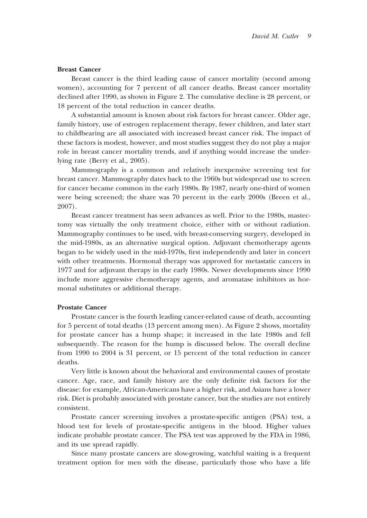#### **Breast Cancer**

Breast cancer is the third leading cause of cancer mortality (second among women), accounting for 7 percent of all cancer deaths. Breast cancer mortality declined after 1990, as shown in Figure 2. The cumulative decline is 28 percent, or 18 percent of the total reduction in cancer deaths.

A substantial amount is known about risk factors for breast cancer. Older age, family history, use of estrogen replacement therapy, fewer children, and later start to childbearing are all associated with increased breast cancer risk. The impact of these factors is modest, however, and most studies suggest they do not play a major role in breast cancer mortality trends, and if anything would increase the underlying rate (Berry et al., 2005).

Mammography is a common and relatively inexpensive screening test for breast cancer. Mammography dates back to the 1960s but widespread use to screen for cancer became common in the early 1980s. By 1987, nearly one-third of women were being screened; the share was 70 percent in the early 2000s (Breen et al., 2007).

Breast cancer treatment has seen advances as well. Prior to the 1980s, mastectomy was virtually the only treatment choice, either with or without radiation. Mammography continues to be used, with breast-conserving surgery, developed in the mid-1980s, as an alternative surgical option. Adjuvant chemotherapy agents began to be widely used in the mid-1970s, first independently and later in concert with other treatments. Hormonal therapy was approved for metastatic cancers in 1977 and for adjuvant therapy in the early 1980s. Newer developments since 1990 include more aggressive chemotherapy agents, and aromatase inhibitors as hormonal substitutes or additional therapy.

#### **Prostate Cancer**

Prostate cancer is the fourth leading cancer-related cause of death, accounting for 5 percent of total deaths (13 percent among men). As Figure 2 shows, mortality for prostate cancer has a hump shape; it increased in the late 1980s and fell subsequently. The reason for the hump is discussed below. The overall decline from 1990 to 2004 is 31 percent, or 15 percent of the total reduction in cancer deaths.

Very little is known about the behavioral and environmental causes of prostate cancer. Age, race, and family history are the only definite risk factors for the disease: for example, African-Americans have a higher risk, and Asians have a lower risk. Diet is probably associated with prostate cancer, but the studies are not entirely consistent.

Prostate cancer screening involves a prostate-specific antigen (PSA) test, a blood test for levels of prostate-specific antigens in the blood. Higher values indicate probable prostate cancer. The PSA test was approved by the FDA in 1986, and its use spread rapidly.

Since many prostate cancers are slow-growing, watchful waiting is a frequent treatment option for men with the disease, particularly those who have a life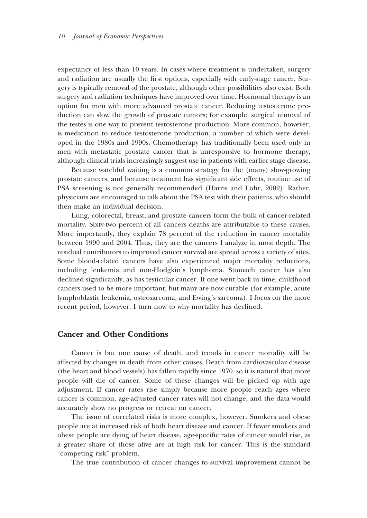expectancy of less than 10 years. In cases where treatment is undertaken, surgery and radiation are usually the first options, especially with early-stage cancer. Surgery is typically removal of the prostate, although other possibilities also exist. Both surgery and radiation techniques have improved over time. Hormonal therapy is an option for men with more advanced prostate cancer. Reducing testosterone production can slow the growth of prostate tumors; for example, surgical removal of the testes is one way to prevent testosterone production. More common, however, is medication to reduce testosterone production, a number of which were developed in the 1980s and 1990s. Chemotherapy has traditionally been used only in men with metastatic prostate cancer that is unresponsive to hormone therapy, although clinical trials increasingly suggest use in patients with earlier stage disease.

Because watchful waiting is a common strategy for the (many) slow-growing prostate cancers, and because treatment has significant side effects, routine use of PSA screening is not generally recommended (Harris and Lohr, 2002). Rather, physicians are encouraged to talk about the PSA test with their patients, who should then make an individual decision.

Lung, colorectal, breast, and prostate cancers form the bulk of cancer-related mortality. Sixty-two percent of all cancers deaths are attributable to these causes. More importantly, they explain 78 percent of the reduction in cancer mortality between 1990 and 2004. Thus, they are the cancers I analyze in most depth. The residual contributors to improved cancer survival are spread across a variety of sites. Some blood-related cancers have also experienced major mortality reductions, including leukemia and non-Hodgkin's lymphoma. Stomach cancer has also declined significantly, as has testicular cancer. If one went back in time, childhood cancers used to be more important, but many are now curable (for example, acute lymphoblastic leukemia, osteosarcoma, and Ewing's sarcoma). I focus on the more recent period, however. I turn now to why mortality has declined.

## **Cancer and Other Conditions**

Cancer is but one cause of death, and trends in cancer mortality will be affected by changes in death from other causes. Death from cardiovascular disease (the heart and blood vessels) has fallen rapidly since 1970, so it is natural that more people will die of cancer. Some of these changes will be picked up with age adjustment. If cancer rates rise simply because more people reach ages where cancer is common, age-adjusted cancer rates will not change, and the data would accurately show no progress or retreat on cancer.

The issue of correlated risks is more complex, however. Smokers and obese people are at increased risk of both heart disease and cancer. If fewer smokers and obese people are dying of heart disease, age-specific rates of cancer would rise, as a greater share of those alive are at high risk for cancer. This is the standard "competing risk" problem.

The true contribution of cancer changes to survival improvement cannot be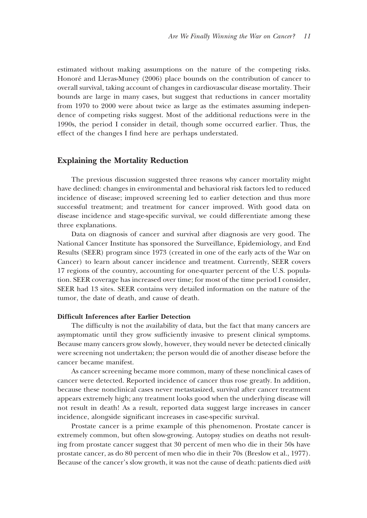estimated without making assumptions on the nature of the competing risks. Honoré and Lleras-Muney (2006) place bounds on the contribution of cancer to overall survival, taking account of changes in cardiovascular disease mortality. Their bounds are large in many cases, but suggest that reductions in cancer mortality from 1970 to 2000 were about twice as large as the estimates assuming independence of competing risks suggest. Most of the additional reductions were in the 1990s, the period I consider in detail, though some occurred earlier. Thus, the effect of the changes I find here are perhaps understated.

## **Explaining the Mortality Reduction**

The previous discussion suggested three reasons why cancer mortality might have declined: changes in environmental and behavioral risk factors led to reduced incidence of disease; improved screening led to earlier detection and thus more successful treatment; and treatment for cancer improved. With good data on disease incidence and stage-specific survival, we could differentiate among these three explanations.

Data on diagnosis of cancer and survival after diagnosis are very good. The National Cancer Institute has sponsored the Surveillance, Epidemiology, and End Results (SEER) program since 1973 (created in one of the early acts of the War on Cancer) to learn about cancer incidence and treatment. Currently, SEER covers 17 regions of the country, accounting for one-quarter percent of the U.S. population. SEER coverage has increased over time; for most of the time period I consider, SEER had 13 sites. SEER contains very detailed information on the nature of the tumor, the date of death, and cause of death.

#### **Difficult Inferences after Earlier Detection**

The difficulty is not the availability of data, but the fact that many cancers are asymptomatic until they grow sufficiently invasive to present clinical symptoms. Because many cancers grow slowly, however, they would never be detected clinically were screening not undertaken; the person would die of another disease before the cancer became manifest.

As cancer screening became more common, many of these nonclinical cases of cancer were detected. Reported incidence of cancer thus rose greatly. In addition, because these nonclinical cases never metastasized, survival after cancer treatment appears extremely high; any treatment looks good when the underlying disease will not result in death! As a result, reported data suggest large increases in cancer incidence, alongside significant increases in case-specific survival.

Prostate cancer is a prime example of this phenomenon. Prostate cancer is extremely common, but often slow-growing. Autopsy studies on deaths not resulting from prostate cancer suggest that 30 percent of men who die in their 50s have prostate cancer, as do 80 percent of men who die in their 70s (Breslow et al., 1977). Because of the cancer's slow growth, it was not the cause of death: patients died *with*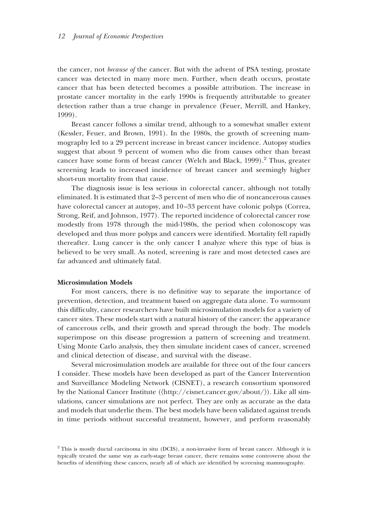the cancer, not *because of* the cancer. But with the advent of PSA testing, prostate cancer was detected in many more men. Further, when death occurs, prostate cancer that has been detected becomes a possible attribution. The increase in prostate cancer mortality in the early 1990s is frequently attributable to greater detection rather than a true change in prevalence (Feuer, Merrill, and Hankey, 1999).

Breast cancer follows a similar trend, although to a somewhat smaller extent (Kessler, Feuer, and Brown, 1991). In the 1980s, the growth of screening mammography led to a 29 percent increase in breast cancer incidence. Autopsy studies suggest that about 9 percent of women who die from causes other than breast cancer have some form of breast cancer (Welch and Black, 1999).<sup>2</sup> Thus, greater screening leads to increased incidence of breast cancer and seemingly higher short-run mortality from that cause.

The diagnosis issue is less serious in colorectal cancer, although not totally eliminated. It is estimated that 2–3 percent of men who die of noncancerous causes have colorectal cancer at autopsy, and  $10-33$  percent have colonic polyps (Correa, Strong, Reif, and Johnson, 1977). The reported incidence of colorectal cancer rose modestly from 1978 through the mid-1980s, the period when colonoscopy was developed and thus more polyps and cancers were identified. Mortality fell rapidly thereafter. Lung cancer is the only cancer I analyze where this type of bias is believed to be very small. As noted, screening is rare and most detected cases are far advanced and ultimately fatal.

#### **Microsimulation Models**

For most cancers, there is no definitive way to separate the importance of prevention, detection, and treatment based on aggregate data alone. To surmount this difficulty, cancer researchers have built microsimulation models for a variety of cancer sites. These models start with a natural history of the cancer: the appearance of cancerous cells, and their growth and spread through the body. The models superimpose on this disease progression a pattern of screening and treatment. Using Monte Carlo analysis, they then simulate incident cases of cancer, screened and clinical detection of disease, and survival with the disease.

Several microsimulation models are available for three out of the four cancers I consider. These models have been developed as part of the Cancer Intervention and Surveillance Modeling Network (CISNET), a research consortium sponsored by the National Cancer Institute (〈http://cisnet.cancer.gov/about/〉). Like all simulations, cancer simulations are not perfect. They are only as accurate as the data and models that underlie them. The best models have been validated against trends in time periods without successful treatment, however, and perform reasonably

<sup>2</sup> This is mostly ductal carcinoma in situ (DCIS), a non-invasive form of breast cancer. Although it is typically treated the same way as early-stage breast cancer, there remains some controversy about the benefits of identifying these cancers, nearly all of which are identified by screening mammography.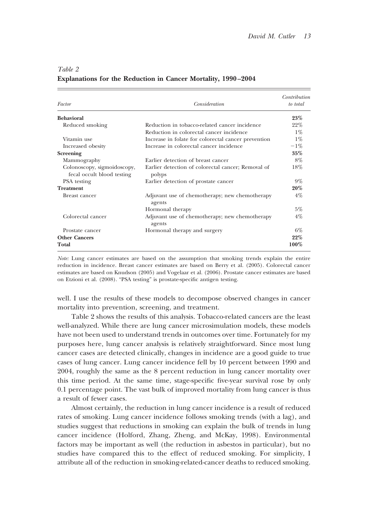| Factor                                                    | Consideration                                                | Contribution<br>to total |
|-----------------------------------------------------------|--------------------------------------------------------------|--------------------------|
| <b>Behavioral</b>                                         |                                                              | 23%                      |
| Reduced smoking                                           | Reduction in tobacco-related cancer incidence                | 22%                      |
|                                                           | Reduction in colorectal cancer incidence                     | $1\%$                    |
| Vitamin use                                               | Increase in folate for colorectal cancer prevention          | $1\%$                    |
| Increased obesity                                         | Increase in colorectal cancer incidence                      | $-1\%$                   |
| Screening                                                 |                                                              | $35\%$                   |
| Mammography                                               | Earlier detection of breast cancer                           | $8\%$                    |
| Colonoscopy, sigmoidoscopy,<br>fecal occult blood testing | Earlier detection of colorectal cancer; Removal of<br>polyps | 18%                      |
| PSA testing                                               | Earlier detection of prostate cancer                         | $9\%$                    |
| <b>Treatment</b>                                          |                                                              | 20%                      |
| Breast cancer                                             | Adjuvant use of chemotherapy; new chemotherapy<br>agents     | $4\%$                    |
|                                                           | Hormonal therapy                                             | $5\%$                    |
| Colorectal cancer                                         | Adjuvant use of chemotherapy; new chemotherapy<br>agents     | $4\%$                    |
| Prostate cancer                                           | Hormonal therapy and surgery                                 | $6\%$                    |
| <b>Other Cancers</b>                                      |                                                              | 22%                      |
| Total                                                     |                                                              | $100\%$                  |

#### *Table 2*

#### **Explanations for the Reduction in Cancer Mortality, 1990–2004**

*Note:* Lung cancer estimates are based on the assumption that smoking trends explain the entire reduction in incidence. Breast cancer estimates are based on Berry et al. (2005). Colorectal cancer estimates are based on Knudson (2005) and Vogelaar et al. (2006). Prostate cancer estimates are based on Etzioni et al. (2008). "PSA testing" is prostate-specific antigen testing.

well. I use the results of these models to decompose observed changes in cancer mortality into prevention, screening, and treatment.

Table 2 shows the results of this analysis. Tobacco-related cancers are the least well-analyzed. While there are lung cancer microsimulation models, these models have not been used to understand trends in outcomes over time. Fortunately for my purposes here, lung cancer analysis is relatively straightforward. Since most lung cancer cases are detected clinically, changes in incidence are a good guide to true cases of lung cancer. Lung cancer incidence fell by 10 percent between 1990 and 2004, roughly the same as the 8 percent reduction in lung cancer mortality over this time period. At the same time, stage-specific five-year survival rose by only 0.1 percentage point. The vast bulk of improved mortality from lung cancer is thus a result of fewer cases.

Almost certainly, the reduction in lung cancer incidence is a result of reduced rates of smoking. Lung cancer incidence follows smoking trends (with a lag), and studies suggest that reductions in smoking can explain the bulk of trends in lung cancer incidence (Holford, Zhang, Zheng, and McKay, 1998). Environmental factors may be important as well (the reduction in asbestos in particular), but no studies have compared this to the effect of reduced smoking. For simplicity, I attribute all of the reduction in smoking-related-cancer deaths to reduced smoking.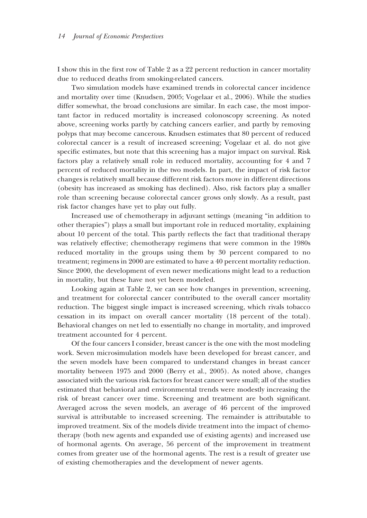I show this in the first row of Table 2 as a 22 percent reduction in cancer mortality due to reduced deaths from smoking-related cancers.

Two simulation models have examined trends in colorectal cancer incidence and mortality over time (Knudsen, 2005; Vogelaar et al., 2006). While the studies differ somewhat, the broad conclusions are similar. In each case, the most important factor in reduced mortality is increased colonoscopy screening. As noted above, screening works partly by catching cancers earlier, and partly by removing polyps that may become cancerous. Knudsen estimates that 80 percent of reduced colorectal cancer is a result of increased screening; Vogelaar et al. do not give specific estimates, but note that this screening has a major impact on survival. Risk factors play a relatively small role in reduced mortality, accounting for 4 and 7 percent of reduced mortality in the two models. In part, the impact of risk factor changes is relatively small because different risk factors move in different directions (obesity has increased as smoking has declined). Also, risk factors play a smaller role than screening because colorectal cancer grows only slowly. As a result, past risk factor changes have yet to play out fully.

Increased use of chemotherapy in adjuvant settings (meaning "in addition to other therapies") plays a small but important role in reduced mortality, explaining about 10 percent of the total. This partly reflects the fact that traditional therapy was relatively effective; chemotherapy regimens that were common in the 1980s reduced mortality in the groups using them by 30 percent compared to no treatment; regimens in 2000 are estimated to have a 40 percent mortality reduction. Since 2000, the development of even newer medications might lead to a reduction in mortality, but these have not yet been modeled.

Looking again at Table 2, we can see how changes in prevention, screening, and treatment for colorectal cancer contributed to the overall cancer mortality reduction. The biggest single impact is increased screening, which rivals tobacco cessation in its impact on overall cancer mortality (18 percent of the total). Behavioral changes on net led to essentially no change in mortality, and improved treatment accounted for 4 percent.

Of the four cancers I consider, breast cancer is the one with the most modeling work. Seven microsimulation models have been developed for breast cancer, and the seven models have been compared to understand changes in breast cancer mortality between 1975 and 2000 (Berry et al., 2005). As noted above, changes associated with the various risk factors for breast cancer were small; all of the studies estimated that behavioral and environmental trends were modestly increasing the risk of breast cancer over time. Screening and treatment are both significant. Averaged across the seven models, an average of 46 percent of the improved survival is attributable to increased screening. The remainder is attributable to improved treatment. Six of the models divide treatment into the impact of chemotherapy (both new agents and expanded use of existing agents) and increased use of hormonal agents. On average, 56 percent of the improvement in treatment comes from greater use of the hormonal agents. The rest is a result of greater use of existing chemotherapies and the development of newer agents.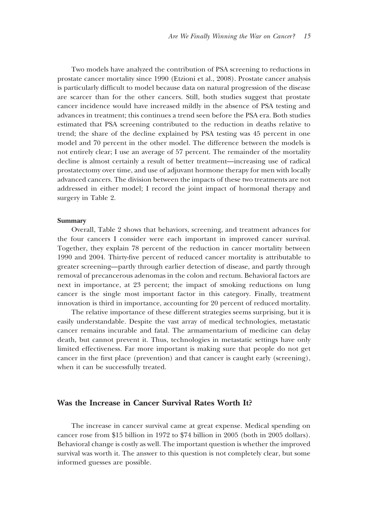Two models have analyzed the contribution of PSA screening to reductions in prostate cancer mortality since 1990 (Etzioni et al., 2008). Prostate cancer analysis is particularly difficult to model because data on natural progression of the disease are scarcer than for the other cancers. Still, both studies suggest that prostate cancer incidence would have increased mildly in the absence of PSA testing and advances in treatment; this continues a trend seen before the PSA era. Both studies estimated that PSA screening contributed to the reduction in deaths relative to trend; the share of the decline explained by PSA testing was 45 percent in one model and 70 percent in the other model. The difference between the models is not entirely clear; I use an average of 57 percent. The remainder of the mortality decline is almost certainly a result of better treatment—increasing use of radical prostatectomy over time, and use of adjuvant hormone therapy for men with locally advanced cancers. The division between the impacts of these two treatments are not addressed in either model; I record the joint impact of hormonal therapy and surgery in Table 2.

#### **Summary**

Overall, Table 2 shows that behaviors, screening, and treatment advances for the four cancers I consider were each important in improved cancer survival. Together, they explain 78 percent of the reduction in cancer mortality between 1990 and 2004. Thirty-five percent of reduced cancer mortality is attributable to greater screening—partly through earlier detection of disease, and partly through removal of precancerous adenomas in the colon and rectum. Behavioral factors are next in importance, at 23 percent; the impact of smoking reductions on lung cancer is the single most important factor in this category. Finally, treatment innovation is third in importance, accounting for 20 percent of reduced mortality.

The relative importance of these different strategies seems surprising, but it is easily understandable. Despite the vast array of medical technologies, metastatic cancer remains incurable and fatal. The armamentarium of medicine can delay death, but cannot prevent it. Thus, technologies in metastatic settings have only limited effectiveness. Far more important is making sure that people do not get cancer in the first place (prevention) and that cancer is caught early (screening), when it can be successfully treated.

#### **Was the Increase in Cancer Survival Rates Worth It?**

The increase in cancer survival came at great expense. Medical spending on cancer rose from \$15 billion in 1972 to \$74 billion in 2005 (both in 2005 dollars). Behavioral change is costly as well. The important question is whether the improved survival was worth it. The answer to this question is not completely clear, but some informed guesses are possible.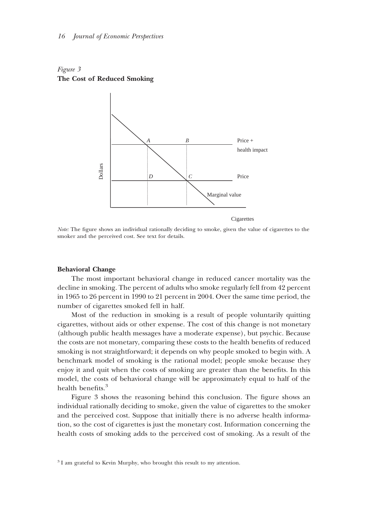



Cigarettes

*Note:* The figure shows an individual rationally deciding to smoke, given the value of cigarettes to the smoker and the perceived cost. See text for details.

#### **Behavioral Change**

The most important behavioral change in reduced cancer mortality was the decline in smoking. The percent of adults who smoke regularly fell from 42 percent in 1965 to 26 percent in 1990 to 21 percent in 2004. Over the same time period, the number of cigarettes smoked fell in half.

Most of the reduction in smoking is a result of people voluntarily quitting cigarettes, without aids or other expense. The cost of this change is not monetary (although public health messages have a moderate expense), but psychic. Because the costs are not monetary, comparing these costs to the health benefits of reduced smoking is not straightforward; it depends on why people smoked to begin with. A benchmark model of smoking is the rational model; people smoke because they enjoy it and quit when the costs of smoking are greater than the benefits. In this model, the costs of behavioral change will be approximately equal to half of the health benefits.<sup>3</sup>

Figure 3 shows the reasoning behind this conclusion. The figure shows an individual rationally deciding to smoke, given the value of cigarettes to the smoker and the perceived cost. Suppose that initially there is no adverse health information, so the cost of cigarettes is just the monetary cost. Information concerning the health costs of smoking adds to the perceived cost of smoking. As a result of the

<sup>&</sup>lt;sup>3</sup> I am grateful to Kevin Murphy, who brought this result to my attention.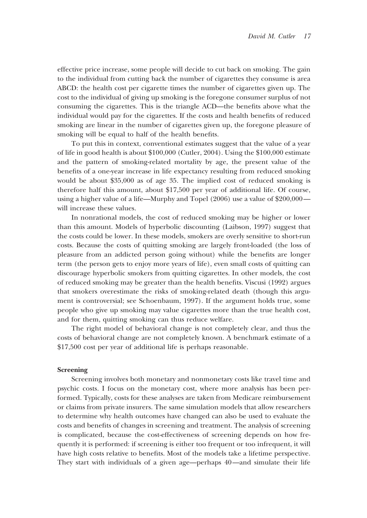effective price increase, some people will decide to cut back on smoking. The gain to the individual from cutting back the number of cigarettes they consume is area ABCD: the health cost per cigarette times the number of cigarettes given up. The cost to the individual of giving up smoking is the foregone consumer surplus of not consuming the cigarettes. This is the triangle ACD—the benefits above what the individual would pay for the cigarettes. If the costs and health benefits of reduced smoking are linear in the number of cigarettes given up, the foregone pleasure of smoking will be equal to half of the health benefits.

To put this in context, conventional estimates suggest that the value of a year of life in good health is about \$100,000 (Cutler, 2004). Using the \$100,000 estimate and the pattern of smoking-related mortality by age, the present value of the benefits of a one-year increase in life expectancy resulting from reduced smoking would be about \$35,000 as of age 35. The implied cost of reduced smoking is therefore half this amount, about \$17,500 per year of additional life. Of course, using a higher value of a life—Murphy and Topel (2006) use a value of \$200,000 will increase these values.

In nonrational models, the cost of reduced smoking may be higher or lower than this amount. Models of hyperbolic discounting (Laibson, 1997) suggest that the costs could be lower. In these models, smokers are overly sensitive to short-run costs. Because the costs of quitting smoking are largely front-loaded (the loss of pleasure from an addicted person going without) while the benefits are longer term (the person gets to enjoy more years of life), even small costs of quitting can discourage hyperbolic smokers from quitting cigarettes. In other models, the cost of reduced smoking may be greater than the health benefits. Viscusi (1992) argues that smokers overestimate the risks of smoking-related death (though this argument is controversial; see Schoenbaum, 1997). If the argument holds true, some people who give up smoking may value cigarettes more than the true health cost, and for them, quitting smoking can thus reduce welfare.

The right model of behavioral change is not completely clear, and thus the costs of behavioral change are not completely known. A benchmark estimate of a \$17,500 cost per year of additional life is perhaps reasonable.

#### **Screening**

Screening involves both monetary and nonmonetary costs like travel time and psychic costs. I focus on the monetary cost, where more analysis has been performed. Typically, costs for these analyses are taken from Medicare reimbursement or claims from private insurers. The same simulation models that allow researchers to determine why health outcomes have changed can also be used to evaluate the costs and benefits of changes in screening and treatment. The analysis of screening is complicated, because the cost-effectiveness of screening depends on how frequently it is performed: if screening is either too frequent or too infrequent, it will have high costs relative to benefits. Most of the models take a lifetime perspective. They start with individuals of a given age—perhaps 40—and simulate their life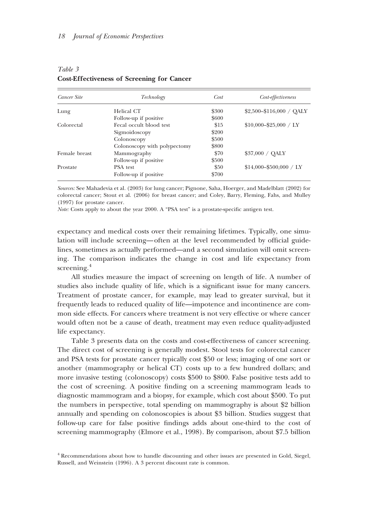| Cancer Site   | Technology                   | Cost  | Cost-effectiveness<br>$$2,500-\$116,000 / QALY$ |  |
|---------------|------------------------------|-------|-------------------------------------------------|--|
| Lung          | Helical CT                   | \$300 |                                                 |  |
|               | Follow-up if positive        | \$600 |                                                 |  |
| Colorectal    | Fecal occult blood test      | \$15  | $$10,000 - $25,000 / LY$                        |  |
|               | Sigmoidoscopy                | \$200 |                                                 |  |
|               | Colonoscopy                  | \$500 |                                                 |  |
|               | Colonoscopy with polypectomy | \$800 |                                                 |  |
| Female breast | Mammography                  | \$70  | \$37,000 / OALY                                 |  |
|               | Follow-up if positive        | \$500 |                                                 |  |
| Prostate      | PSA test                     | \$50  | $$14.000 - $500.000 / LY$                       |  |
|               | Follow-up if positive        | \$700 |                                                 |  |

## *Table 3* **Cost-Effectiveness of Screening for Cancer**

*Sources:* See Mahadevia et al. (2003) for lung cancer; Pignone, Saha, Hoerger, and Madelblatt (2002) for colorectal cancer; Stout et al. (2006) for breast cancer; and Coley, Barry, Fleming, Fahs, and Mulley (1997) for prostate cancer.

*Note:* Costs apply to about the year 2000. A "PSA test" is a prostate-specific antigen test.

expectancy and medical costs over their remaining lifetimes. Typically, one simulation will include screening—often at the level recommended by official guidelines, sometimes as actually performed—and a second simulation will omit screening. The comparison indicates the change in cost and life expectancy from screening.<sup>4</sup>

All studies measure the impact of screening on length of life. A number of studies also include quality of life, which is a significant issue for many cancers. Treatment of prostate cancer, for example, may lead to greater survival, but it frequently leads to reduced quality of life—impotence and incontinence are common side effects. For cancers where treatment is not very effective or where cancer would often not be a cause of death, treatment may even reduce quality-adjusted life expectancy.

Table 3 presents data on the costs and cost-effectiveness of cancer screening. The direct cost of screening is generally modest. Stool tests for colorectal cancer and PSA tests for prostate cancer typically cost \$50 or less; imaging of one sort or another (mammography or helical CT) costs up to a few hundred dollars; and more invasive testing (colonoscopy) costs \$500 to \$800. False positive tests add to the cost of screening. A positive finding on a screening mammogram leads to diagnostic mammogram and a biopsy, for example, which cost about \$500. To put the numbers in perspective, total spending on mammography is about \$2 billion annually and spending on colonoscopies is about \$3 billion. Studies suggest that follow-up care for false positive findings adds about one-third to the cost of screening mammography (Elmore et al., 1998). By comparison, about \$7.5 billion

<sup>4</sup> Recommendations about how to handle discounting and other issues are presented in Gold, Siegel, Russell, and Weinstein (1996). A 3 percent discount rate is common.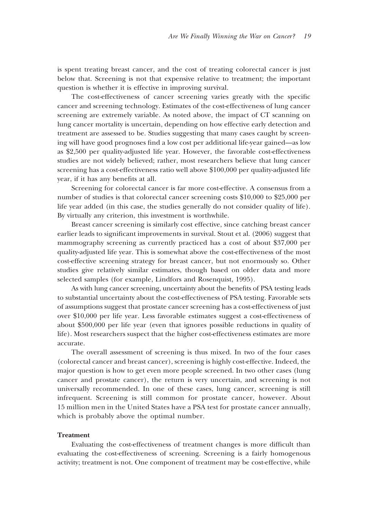is spent treating breast cancer, and the cost of treating colorectal cancer is just below that. Screening is not that expensive relative to treatment; the important question is whether it is effective in improving survival.

The cost-effectiveness of cancer screening varies greatly with the specific cancer and screening technology. Estimates of the cost-effectiveness of lung cancer screening are extremely variable. As noted above, the impact of CT scanning on lung cancer mortality is uncertain, depending on how effective early detection and treatment are assessed to be. Studies suggesting that many cases caught by screening will have good prognoses find a low cost per additional life-year gained—as low as \$2,500 per quality-adjusted life year. However, the favorable cost-effectiveness studies are not widely believed; rather, most researchers believe that lung cancer screening has a cost-effectiveness ratio well above \$100,000 per quality-adjusted life year, if it has any benefits at all.

Screening for colorectal cancer is far more cost-effective. A consensus from a number of studies is that colorectal cancer screening costs \$10,000 to \$25,000 per life year added (in this case, the studies generally do not consider quality of life). By virtually any criterion, this investment is worthwhile.

Breast cancer screening is similarly cost effective, since catching breast cancer earlier leads to significant improvements in survival. Stout et al. (2006) suggest that mammography screening as currently practiced has a cost of about \$37,000 per quality-adjusted life year. This is somewhat above the cost-effectiveness of the most cost-effective screening strategy for breast cancer, but not enormously so. Other studies give relatively similar estimates, though based on older data and more selected samples (for example, Lindfors and Rosenquist, 1995).

As with lung cancer screening, uncertainty about the benefits of PSA testing leads to substantial uncertainty about the cost-effectiveness of PSA testing. Favorable sets of assumptions suggest that prostate cancer screening has a cost-effectiveness of just over \$10,000 per life year. Less favorable estimates suggest a cost-effectiveness of about \$500,000 per life year (even that ignores possible reductions in quality of life). Most researchers suspect that the higher cost-effectiveness estimates are more accurate.

The overall assessment of screening is thus mixed. In two of the four cases (colorectal cancer and breast cancer), screening is highly cost-effective. Indeed, the major question is how to get even more people screened. In two other cases (lung cancer and prostate cancer), the return is very uncertain, and screening is not universally recommended. In one of these cases, lung cancer, screening is still infrequent. Screening is still common for prostate cancer, however. About 15 million men in the United States have a PSA test for prostate cancer annually, which is probably above the optimal number.

#### **Treatment**

Evaluating the cost-effectiveness of treatment changes is more difficult than evaluating the cost-effectiveness of screening. Screening is a fairly homogenous activity; treatment is not. One component of treatment may be cost-effective, while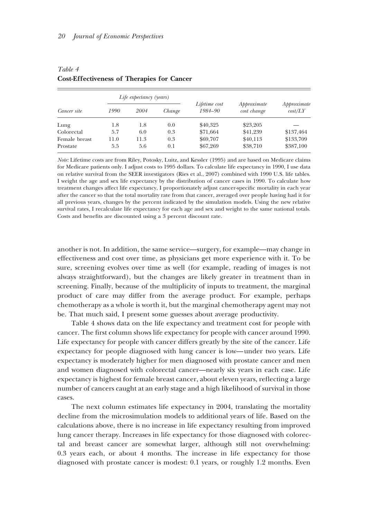|                    | Life expectancy (years) |      |        |                          |                            |                        |
|--------------------|-------------------------|------|--------|--------------------------|----------------------------|------------------------|
| <i>Cancer site</i> | 1990                    | 2004 | Change | Lifetime cost<br>1984-90 | Approximate<br>cost change | Approximate<br>cost/LY |
| Lung               | 1.8                     | 1.8  | 0.0    | \$40,325                 | \$23,205                   |                        |
| Colorectal         | 5.7                     | 6.0  | 0.3    | \$71,664                 | \$41,239                   | \$137,464              |
| Female breast      | 11.0                    | 11.3 | 0.3    | \$69,707                 | \$40,113                   | \$133,709              |
| Prostate           | 5.5                     | 5.6  | 0.1    | \$67,269                 | \$38,710                   | \$387,100              |

*Table 4* **Cost-Effectiveness of Therapies for Cancer**

*Note:* Lifetime costs are from Riley, Potosky, Luitz, and Kessler (1995) and are based on Medicare claims for Medicare patients only. I adjust costs to 1995 dollars. To calculate life expectancy in 1990, I use data on relative survival from the SEER investigators (Ries et al., 2007) combined with 1990 U.S. life tables. I weight the age and sex life expectancy by the distribution of cancer cases in 1990. To calculate how treatment changes affect life expectancy, I proportionately adjust cancer-specific mortality in each year after the cancer so that the total mortality rate from that cancer, averaged over people having had it for all previous years, changes by the percent indicated by the simulation models. Using the new relative survival rates, I recalculate life expectancy for each age and sex and weight to the same national totals. Costs and benefits are discounted using a 3 percent discount rate.

another is not. In addition, the same service—surgery, for example—may change in effectiveness and cost over time, as physicians get more experience with it. To be sure, screening evolves over time as well (for example, reading of images is not always straightforward), but the changes are likely greater in treatment than in screening. Finally, because of the multiplicity of inputs to treatment, the marginal product of care may differ from the average product. For example, perhaps chemotherapy as a whole is worth it, but the marginal chemotherapy agent may not be. That much said, I present some guesses about average productivity.

Table 4 shows data on the life expectancy and treatment cost for people with cancer. The first column shows life expectancy for people with cancer around 1990. Life expectancy for people with cancer differs greatly by the site of the cancer. Life expectancy for people diagnosed with lung cancer is low—under two years. Life expectancy is moderately higher for men diagnosed with prostate cancer and men and women diagnosed with colorectal cancer—nearly six years in each case. Life expectancy is highest for female breast cancer, about eleven years, reflecting a large number of cancers caught at an early stage and a high likelihood of survival in those cases.

The next column estimates life expectancy in 2004, translating the mortality decline from the microsimulation models to additional years of life. Based on the calculations above, there is no increase in life expectancy resulting from improved lung cancer therapy. Increases in life expectancy for those diagnosed with colorectal and breast cancer are somewhat larger, although still not overwhelming: 0.3 years each, or about 4 months. The increase in life expectancy for those diagnosed with prostate cancer is modest: 0.1 years, or roughly 1.2 months. Even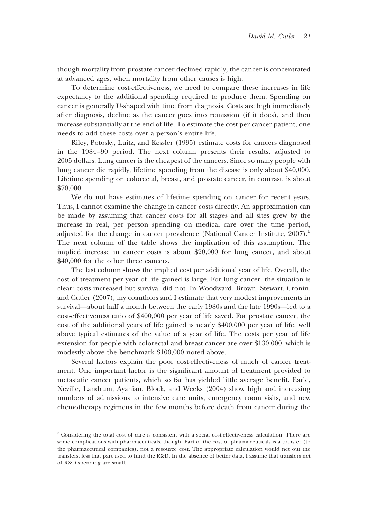though mortality from prostate cancer declined rapidly, the cancer is concentrated at advanced ages, when mortality from other causes is high.

To determine cost-effectiveness, we need to compare these increases in life expectancy to the additional spending required to produce them. Spending on cancer is generally U-shaped with time from diagnosis. Costs are high immediately after diagnosis, decline as the cancer goes into remission (if it does), and then increase substantially at the end of life. To estimate the cost per cancer patient, one needs to add these costs over a person's entire life.

Riley, Potosky, Luitz, and Kessler (1995) estimate costs for cancers diagnosed in the 1984–90 period. The next column presents their results, adjusted to 2005 dollars. Lung cancer is the cheapest of the cancers. Since so many people with lung cancer die rapidly, lifetime spending from the disease is only about \$40,000. Lifetime spending on colorectal, breast, and prostate cancer, in contrast, is about \$70,000.

We do not have estimates of lifetime spending on cancer for recent years. Thus, I cannot examine the change in cancer costs directly. An approximation can be made by assuming that cancer costs for all stages and all sites grew by the increase in real, per person spending on medical care over the time period, adjusted for the change in cancer prevalence (National Cancer Institute, 2007).<sup>5</sup> The next column of the table shows the implication of this assumption. The implied increase in cancer costs is about \$20,000 for lung cancer, and about \$40,000 for the other three cancers.

The last column shows the implied cost per additional year of life. Overall, the cost of treatment per year of life gained is large. For lung cancer, the situation is clear: costs increased but survival did not. In Woodward, Brown, Stewart, Cronin, and Cutler (2007), my coauthors and I estimate that very modest improvements in survival—about half a month between the early 1980s and the late 1990s—led to a cost-effectiveness ratio of \$400,000 per year of life saved. For prostate cancer, the cost of the additional years of life gained is nearly \$400,000 per year of life, well above typical estimates of the value of a year of life. The costs per year of life extension for people with colorectal and breast cancer are over \$130,000, which is modestly above the benchmark \$100,000 noted above.

Several factors explain the poor cost-effectiveness of much of cancer treatment. One important factor is the significant amount of treatment provided to metastatic cancer patients, which so far has yielded little average benefit. Earle, Neville, Landrum, Ayanian, Block, and Weeks (2004) show high and increasing numbers of admissions to intensive care units, emergency room visits, and new chemotherapy regimens in the few months before death from cancer during the

<sup>5</sup> Considering the total cost of care is consistent with a social cost-effectiveness calculation. There are some complications with pharmaceuticals, though. Part of the cost of pharmaceuticals is a transfer (to the pharmaceutical companies), not a resource cost. The appropriate calculation would net out the transfers, less that part used to fund the R&D. In the absence of better data, I assume that transfers net of R&D spending are small.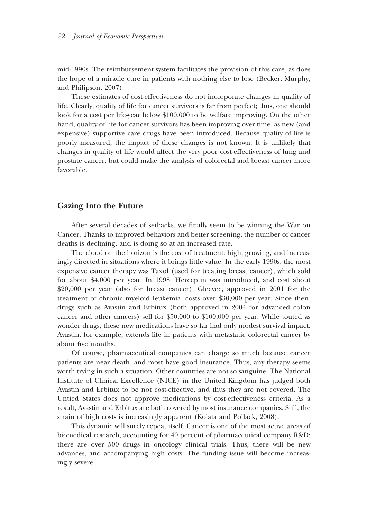mid-1990s. The reimbursement system facilitates the provision of this care, as does the hope of a miracle cure in patients with nothing else to lose (Becker, Murphy, and Philipson, 2007).

These estimates of cost-effectiveness do not incorporate changes in quality of life. Clearly, quality of life for cancer survivors is far from perfect; thus, one should look for a cost per life-year below \$100,000 to be welfare improving. On the other hand, quality of life for cancer survivors has been improving over time, as new (and expensive) supportive care drugs have been introduced. Because quality of life is poorly measured, the impact of these changes is not known. It is unlikely that changes in quality of life would affect the very poor cost-effectiveness of lung and prostate cancer, but could make the analysis of colorectal and breast cancer more favorable.

#### **Gazing Into the Future**

After several decades of setbacks, we finally seem to be winning the War on Cancer. Thanks to improved behaviors and better screening, the number of cancer deaths is declining, and is doing so at an increased rate.

The cloud on the horizon is the cost of treatment: high, growing, and increasingly directed in situations where it brings little value. In the early 1990s, the most expensive cancer therapy was Taxol (used for treating breast cancer), which sold for about \$4,000 per year. In 1998, Herceptin was introduced, and cost about \$20,000 per year (also for breast cancer). Gleevec, approved in 2001 for the treatment of chronic myeloid leukemia, costs over \$30,000 per year. Since then, drugs such as Avastin and Erbitux (both approved in 2004 for advanced colon cancer and other cancers) sell for \$50,000 to \$100,000 per year. While touted as wonder drugs, these new medications have so far had only modest survival impact. Avastin, for example, extends life in patients with metastatic colorectal cancer by about five months.

Of course, pharmaceutical companies can charge so much because cancer patients are near death, and most have good insurance. Thus, any therapy seems worth trying in such a situation. Other countries are not so sanguine. The National Institute of Clinical Excellence (NICE) in the United Kingdom has judged both Avastin and Erbitux to be not cost-effective, and thus they are not covered. The Untied States does not approve medications by cost-effectiveness criteria. As a result, Avastin and Erbitux are both covered by most insurance companies. Still, the strain of high costs is increasingly apparent (Kolata and Pollack, 2008).

This dynamic will surely repeat itself. Cancer is one of the most active areas of biomedical research, accounting for 40 percent of pharmaceutical company R&D; there are over 500 drugs in oncology clinical trials. Thus, there will be new advances, and accompanying high costs. The funding issue will become increasingly severe.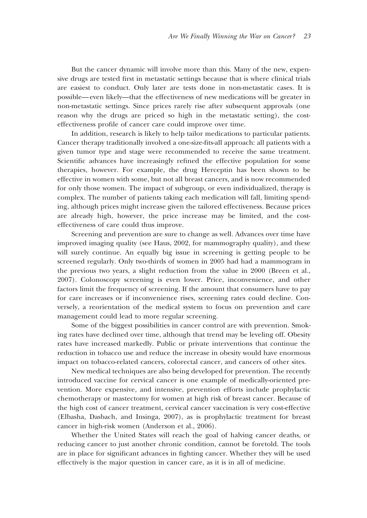But the cancer dynamic will involve more than this. Many of the new, expensive drugs are tested first in metastatic settings because that is where clinical trials are easiest to conduct. Only later are tests done in non-metastatic cases. It is possible—even likely—that the effectiveness of new medications will be greater in non-metastatic settings. Since prices rarely rise after subsequent approvals (one reason why the drugs are priced so high in the metastatic setting), the costeffectiveness profile of cancer care could improve over time.

In addition, research is likely to help tailor medications to particular patients. Cancer therapy traditionally involved a one-size-fits-all approach: all patients with a given tumor type and stage were recommended to receive the same treatment. Scientific advances have increasingly refined the effective population for some therapies, however. For example, the drug Herceptin has been shown to be effective in women with some, but not all breast cancers, and is now recommended for only those women. The impact of subgroup, or even individualized, therapy is complex. The number of patients taking each medication will fall, limiting spending, although prices might increase given the tailored effectiveness. Because prices are already high, however, the price increase may be limited, and the costeffectiveness of care could thus improve.

Screening and prevention are sure to change as well. Advances over time have improved imaging quality (see Haus, 2002, for mammography quality), and these will surely continue. An equally big issue in screening is getting people to be screened regularly. Only two-thirds of women in 2005 had had a mammogram in the previous two years, a slight reduction from the value in 2000 (Breen et al., 2007). Colonoscopy screening is even lower. Price, inconvenience, and other factors limit the frequency of screening. If the amount that consumers have to pay for care increases or if inconvenience rises, screening rates could decline. Conversely, a reorientation of the medical system to focus on prevention and care management could lead to more regular screening.

Some of the biggest possibilities in cancer control are with prevention. Smoking rates have declined over time, although that trend may be leveling off. Obesity rates have increased markedly. Public or private interventions that continue the reduction in tobacco use and reduce the increase in obesity would have enormous impact on tobacco-related cancers, colorectal cancer, and cancers of other sites.

New medical techniques are also being developed for prevention. The recently introduced vaccine for cervical cancer is one example of medically-oriented prevention. More expensive, and intensive, prevention efforts include prophylactic chemotherapy or mastectomy for women at high risk of breast cancer. Because of the high cost of cancer treatment, cervical cancer vaccination is very cost-effective (Elbasha, Dasbach, and Insinga, 2007), as is prophylactic treatment for breast cancer in high-risk women (Anderson et al., 2006).

Whether the United States will reach the goal of halving cancer deaths, or reducing cancer to just another chronic condition, cannot be foretold. The tools are in place for significant advances in fighting cancer. Whether they will be used effectively is the major question in cancer care, as it is in all of medicine.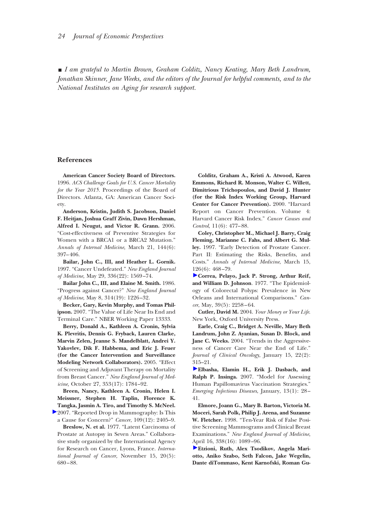y *I am grateful to Martin Brown, Graham Colditz, Nancy Keating, Mary Beth Landrum, Jonathan Skinner, Jane Weeks, and the editors of the Journal for helpful comments, and to the National Institutes on Aging for research support.*

#### **References**

**American Cancer Society Board of Directors.** 1996. *ACS Challenge Goals for U.S. Cancer Mortality for the Year 2015.* Proceedings of the Board of Directors. Atlanta, GA: American Cancer Society.

**Anderson, Kristin, Judith S. Jacobson, Daniel F. Heitjan, Joshua Graff Zivin, Dawn Hershman, Alfred I. Neugut, and Victor R. Grann.** 2006. "Cost-effectiveness of Preventive Strategies for Women with a BRCA1 or a BRCA2 Mutation." *Annals of Internal Medicine*, March 21, 144(6): 397–406.

**Bailar, John C., III, and Heather L. Gornik.** 1997. "Cancer Undefeated." *New England Journal of Medicine,* May 29, 336(22): 1569–74.

**Bailar John C., III, and Elaine M. Smith.** 1986. "Progress against Cancer?" *New England Journal of Medicine*, May 8, 314(19): 1226–32.

**Becker, Gary, Kevin Murphy, and Tomas Philipson.** 2007. "The Value of Life Near Its End and Terminal Care." NBER Working Paper 13333.

**Berry, Donald A., Kathleen A. Cronin, Sylvia K. Plevritis, Dennis G. Fryback, Lauren Clarke, Marvin Zelen, Jeanne S. Mandelblatt, Andrei Y. Yakovlev, Dik F. Habbema, and Eric J. Feuer (for the Cancer Intervention and Surveillance Modeling Network Collaborators).** 2005. "Effect of Screening and Adjuvant Therapy on Mortality from Breast Cancer." *New England Journal of Medicine,* October 27, 353(17): 1784–92.

**Breen, Nancy, Kathleen A. Cronin, Helen I. Meissner, Stephen H. Taplin, Florence K. Tangka, Jasmin A. Tiro, and Timothy S. McNeel.**

[2](http://pubs.aeaweb.org/action/showLinks?pmid=17503429&crossref=10.1002%2Fcncr.22723&citationId=p_10)007. "Reported Drop in Mammography: Is This a Cause for Concern?" *Cancer*, 109(12): 2405–9.

**Breslow, N. et al.** 1977. "Latent Carcinoma of Prostate at Autopsy in Seven Areas." Collaborative study organized by the International Agency for Research on Cancer, Lyons, France. *International Journal of Cancer*, November 15, 20(5): 680–88.

**Colditz, Graham A., Kristi A. Atwood, Karen Emmons, Richard R. Monson, Walter C. Willett, Dimitrious Trichopoulos, and David J. Hunter (for the Risk Index Working Group, Harvard Center for Cancer Prevention).** 2000. "Harvard Report on Cancer Prevention. Volume 4: Harvard Cancer Risk Index." *Cancer Causes and Control*, 11(6): 477–88.

**Coley, Christopher M., Michael J. Barry, Craig Fleming, Marianne C. Fahs, and Albert G. Mulley.** 1997. "Early Detection of Prostate Cancer. Part II: Estimating the Risks, Benefits, and Costs." *Annals of Internal Medicine*, March 15, 126(6): 468–79.

**[C](http://pubs.aeaweb.org/action/showLinks?pmid=870171&crossref=10.1002%2F1097-0142%28197705%2939%3A5%3C2258%3A%3AAID-CNCR2820390545%3E3.0.CO%3B2-S&citationId=p_14)orrea, Pelayo, Jack P. Strong, Arthur Reif, and William D. Johnson**. 1977. "The Epidemiology of Colorectal Polyps: Prevalence in New Orleans and International Comparisons." *Cancer*, May, 39(5): 2258–64.

**Cutler, David M.** 2004. *Your Money or Your Life*. New York, Oxford University Press.

**Earle, Craig C., Bridget A. Neville, Mary Beth Landrum, John Z. Ayanian, Susan D. Block, and Jane C. Weeks.** 2004. "Trends in the Aggressiveness of Cancer Care Near the End of Life." *Journal of Clinical Oncology*, January 15, 22(2): 315–21.

**[E](http://pubs.aeaweb.org/action/showLinks?pmid=17370513&crossref=10.3201%2Feid1301.060438&citationId=p_17)lbasha, Elamin H., Erik J. Dasbach, and Ralph P. Insinga.** 2007. "Model for Assessing Human Papillomavirus Vaccination Strategies." *Emerging Infectious Diseases*, January, 13(1): 28– 41.

**Elmore, Joann G., Mary B. Barton, Victoria M. Moceri, Sarah Polk, Philip J. Arena, and Suzanne W. Fletcher.** 1998. "Ten-Year Risk of False Positive Screening Mammograms and Clinical Breast Examinations." *New England Journal of Medicine*, April 16, 338(16): 1089–96.

**[E](http://pubs.aeaweb.org/action/showLinks?pmid=18027095&crossref=10.1007%2Fs10552-007-9083-8&citationId=p_19)tzioni, Ruth, Alex Tsodikov, Angela Mariotto, Aniko Szabo, Seth Falcon, Jake Wegelin, Dante diTommaso, Kent Karnofski, Roman Gu-**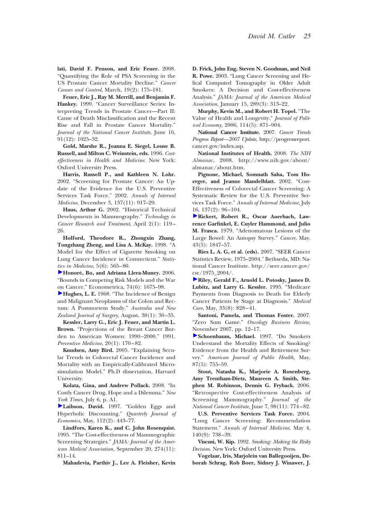**lati, David F. Penson, and Eric Feuer.** 2008. "Quantifying the Role of PSA Screening in the US Prostate Cancer Mortality Decline." *Cancer Causes and Control*, March, 19(2): 175–181.

**Feuer, Eric J., Ray M. Merrill, and Benjamin F. Hankey.** 1999. "Cancer Surveillance Series: Interpreting Trends in Prostate Cancer—Part II: Cause of Death Misclassification and the Recent Rise and Fall in Prostate Cancer Mortality." *Journal of the National Cancer Institute*, June 16, 91(12): 1025–32.

**Gold, Marshe R., Joanna E. Siegel, Louse B. Russell, and Milton C. Weinstein, eds.** 1996. *Costeffectiveness in Health and Medicine*. New York: Oxford University Press.

**Harris, Russell P., and Kathleen N. Lohr.** 2002. "Screening for Prostate Cancer: An Update of the Evidence for the U.S. Preventive Services Task Force." 2002. *Annals of Internal Medicine*, December 3, 137(11): 917–29.

**Haus, Arthur G.** 2002. "Historical Technical Developments in Mammography." *Technology in Cancer Research and Treatment*, April 2(1): 119– 26.

**Holford, Theodore R., Zhongxin Zhang, Tongzhang Zheng, and Lisa A. McKay.** 1998. "A Model for the Effect of Cigarette Smoking on Lung Cancer Incidence in Connecticut." *Statistics in Medicine*, 5(6): 565–80.

**[H](http://pubs.aeaweb.org/action/showLinks?crossref=10.1111%2Fj.1468-0262.2006.00722.x&citationId=p_26)onore´, Bo, and Adriana Llera-Muney.** 2006. "Bounds in Competing Risk Models and the War on Cancer." Econometrica, 74(6): 1675–98.

**[H](http://pubs.aeaweb.org/action/showLinks?pmid=5245830&crossref=10.1111%2Fj.1445-2197.1971.tb05161.x&citationId=p_27)ughes, L. E.** 1968. "The Incidence of Benign and Malignant Neoplasms of the Colon and Rectum: A Postmortem Study." *Australia and New Zealand Journal of Surgery*, August, 38(1): 30–35.

**Kessler, Larry G., Eric J. Feuer, and Martin L. Brown.** "Projections of the Breast Cancer Burden to American Women: 1990–2000." 1991. *Preventive Medicine*, 20(1): 170–82.

**Knudsen, Amy Bird.** 2005. "Explaining Secular Trends in Colorectal Cancer Incidence and Mortality with an Empirically-Calibrated Microsimulation Model." Ph.D dissertation, Harvard University.

**Kolata, Gina, and Andrew Pollack.** 2008. "In Costly Cancer Drug, Hope and a Dilemma." *New York Times*, July 6, p. A1.

**[L](http://pubs.aeaweb.org/action/showLinks?crossref=10.1162%2F003355397555253&citationId=p_31)aibson, David.** 1997. "Golden Eggs and Hyperbolic Discounting." *Quarterly Journal of Economics*, May, 112(2): 443–77.

**Lindfors, Karen K., and C. John Rosenquist.** 1995. "The Cost-effectiveness of Mammographic Screening Strategies." *JAMA: Journal of the American Medical Association*, September 20, 274(11): 811–14.

**Mahadevia, Parthiv J., Lee A. Fleisher, Kevin**

**D. Frick, John Eng, Steven N. Goodman, and Neil R. Powe.** 2003. "Lung Cancer Screening and Helical Computed Tomography in Older Adult Smokers: A Decision and Cost-effectiveness Analysis." *JAMA: Journal of the American Medical Association*, January 15, 289(3): 313–22.

**Murphy, Kevin M., and Robert H. Topel.** "The Value of Health and Longevity." *Journal of Political Economy*, 2006, 114(5): 871–904.

**National Cancer Institute.** 2007. *Cancer Trends Progress Report—2007 Update*, http://progressreport. cancer.gov/index.asp.

**National Institutes of Health.** 2008. *The NIH Almanac*, 2008. http://www.nih.gov/about/ almanac/about.htm.

**Pignone, Michael, Somnath Saha, Tom Hoerger, and Jeanne Mandelblatt.** 2002. "Cost-Effectiveness of Colorectal Cancer Screening: A Systematic Review for the U.S. Preventive Services Task Force." *Annals of Internal Medicine*, July [16,](http://pubs.aeaweb.org/action/showLinks?pmid=445371&crossref=10.1002%2F1097-0142%28197905%2943%3A5%3C1847%3A%3AAID-CNCR2820430538%3E3.0.CO%3B2-L&citationId=p_39) 137(2): 96–104.

**Rickert, Robert R., Oscar Auerbach, Lawrence Garfinkel, E. Cuyler Hammond, and Julio M. Frasca.** 1979. "Adenomatous Lesions of the Large Bowel: An Autopsy Survey." *Cancer,* May, 43(5): 1847–57.

**Ries L. A. G, et al. (eds).** 2007. "SEER Cancer Statistics Review, 1975–2004." Bethseda, MD: National Cancer Institute. http://seer.cancer.gov/ csr/1975\_2004/.

**[R](http://pubs.aeaweb.org/action/showLinks?pmid=7637404&crossref=10.1097%2F00005650-199508000-00007&citationId=p_41)iley, Gerald F., Arnold L. Potosky, James D. Lubitz, and Larry G. Kessler.** 1995. "Medicare Payments from Diagnosis to Death for Elderly Cancer Patients by Stage at Diagnosis." *Medical Care*, May, 33(8): 828–41.

**Santoni, Pamela, and Thomas Foster.** 2007. "Zero Sum Game." *Oncology Business Review*, November 2007, pp. 12–17.

**[S](http://pubs.aeaweb.org/action/showLinks?pmid=9184501&crossref=10.2105%2FAJPH.87.5.755&citationId=p_43)choenbaum, Michael.** 1997. "Do Smokers Understand the Mortality Effects of Smoking? Evidence from the Health and Retirement Survey." *American Journal of Public Health,* May, 87(5): 755–59.

**Stout, Natasha K., Marjorie A. Rosenberg, Amy Trentham-Dietz, Maureen A. Smith, Stephen M. Robinson, Dennis G. Fryback.** 2006. "Retrospective Cost-effectiveness Analysis of Screening Mammography." *Journal of the National Cancer Institute,* June 7, 98(11): 774–82.

**U.S. Preventive Services Task Force.** 2004. "Lung Cancer Screening: Recommendation Statement." *Annals of Internal Medicine,* May 4, 140(9): 738–39.

**Viscusi, W. Kip.** 1992. *Smoking: Making the Risky Decision*. New York: Oxford University Press.

**Vogelaar, Iris, Marjolein van Ballegooijen, Deborah Schrag, Rob Boer, Sidney J. Winawer, J.**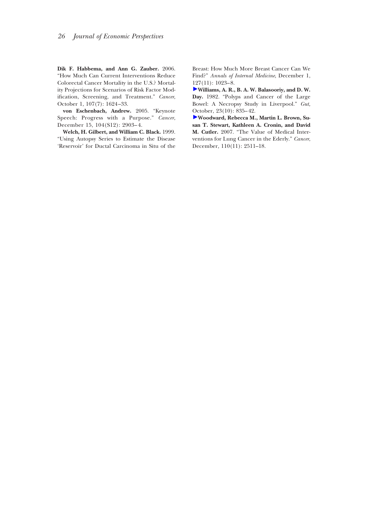**Dik F. Habbema, and Ann G. Zauber.** 2006. "How Much Can Current Interventions Reduce Colorectal Cancer Mortality in the U.S.? Mortality Projections for Scenarios of Risk Factor Modification, Screening, and Treatment." *Cancer*, October 1, 107(7): 1624–33.

**von Eschenbach, Andrew.** 2005. "Keynote Speech: Progress with a Purpose." *Cancer*, December 15, 104(S12): 2903–4.

**Welch, H. Gilbert, and William C. Black.** 1999. "Using Autopsy Series to Estimate the Disease 'Reservoir' for Ductal Carcinoma in Situ of the

Breast: How Much More Breast Cancer Can We Find?" *Annals of Internal Medicine*, December 1, 127(11): 1023–8.

**[W](http://pubs.aeaweb.org/action/showLinks?pmid=7117903&crossref=10.1136%2Fgut.23.10.835&citationId=p_50)illiams, A. R., B. A. W. Balasooriy, and D. W. Day.** 1982. "Polyps and Cancer of the Large Bowel: A Necropsy Study in Liverpool." *Gut,* October, 23(10): 835–42.

**[W](http://pubs.aeaweb.org/action/showLinks?pmid=17955504&crossref=10.1002%2Fcncr.23058&citationId=p_51)oodward, Rebecca M., Martin L. Brown, Susan T. Stewart, Kathleen A. Cronin, and David M. Cutler.** 2007. "The Value of Medical Interventions for Lung Cancer in the Ederly." *Cancer*, December, 110(11): 2511–18.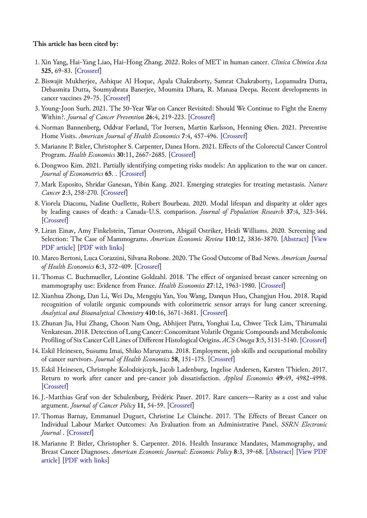#### **This article has been cited by:**

- 1. Xin Yang, Hai-Yang Liao, Hai-Hong Zhang. 2022. Roles of MET in human cancer. *Clinica Chimica Acta* **525**, 69-83. [\[Crossref](https://doi.org/10.1016/j.cca.2021.12.017)]
- 2. Biswajit Mukherjee, Ashique Al Hoque, Apala Chakraborty, Samrat Chakraborty, Lopamudra Dutta, Debasmita Dutta, Soumyabrata Banerjee, Moumita Dhara, R. Manasa Deepa. Recent developments in cancer vaccines 29-75. [\[Crossref](https://doi.org/10.1016/B978-0-12-823686-4.00018-5)]
- 3. Young-Joon Surh. 2021. The 50-Year War on Cancer Revisited: Should We Continue to Fight the Enemy Within?. *Journal of Cancer Prevention* **26**:4, 219-223. [[Crossref\]](https://doi.org/10.15430/JCP.2021.26.4.219)
- 4. Norman Bannenberg, Oddvar Førland, Tor Iversen, Martin Karlsson, Henning Øien. 2021. Preventive Home Visits. *American Journal of Health Economics* **7**:4, 457-496. [[Crossref\]](https://doi.org/10.1086/714988)
- 5. Marianne P. Bitler, Christopher S. Carpenter, Danea Horn. 2021. Effects of the Colorectal Cancer Control Program. *Health Economics* **30**:11, 2667-2685. [\[Crossref](https://doi.org/10.1002/hec.4397)]
- 6.Dongwoo Kim. 2021. Partially identifying competing risks models: An application to the war on cancer. *Journal of Econometrics* **65**. . [[Crossref\]](https://doi.org/10.1016/j.jeconom.2021.07.007)
- 7. Mark Esposito, Shridar Ganesan, Yibin Kang. 2021. Emerging strategies for treating metastasis. *Nature Cancer* **2**:3, 258-270. [[Crossref\]](https://doi.org/10.1038/s43018-021-00181-0)
- 8. Viorela Diaconu, Nadine Ouellette, Robert Bourbeau. 2020. Modal lifespan and disparity at older ages by leading causes of death: a Canada-U.S. comparison. *Journal of Population Research* **37**:4, 323-344. [\[Crossref](https://doi.org/10.1007/s12546-020-09247-9)]
- 9. Liran Einav, Amy Finkelstein, Tamar Oostrom, Abigail Ostriker, Heidi Williams. 2020. Screening and Selection: The Case of Mammograms. *American Economic Review* **110**:12, 3836-3870. [[Abstract\]](https://doi.org/10.1257/aer.20191191) [\[View](http://pubs.aeaweb.org/doi/pdf/10.1257/aer.20191191) [PDF article\]](http://pubs.aeaweb.org/doi/pdf/10.1257/aer.20191191) [[PDF with links\]](http://pubs.aeaweb.org/doi/pdfplus/10.1257/aer.20191191)
- 10. Marco Bertoni, Luca Corazzini, Silvana Robone. 2020. The Good Outcome of Bad News. *American Journal of Health Economics* **6**:3, 372-409. [[Crossref\]](https://doi.org/10.1086/708930)
- 11. Thomas C. Buchmueller, Léontine Goldzahl. 2018. The effect of organized breast cancer screening on mammography use: Evidence from France. *Health Economics* **27**:12, 1963-1980. [[Crossref\]](https://doi.org/10.1002/hec.3813)
- 12. Xianhua Zhong, Dan Li, Wei Du, Mengqiu Yan, You Wang, Danqun Huo, Changjun Hou. 2018. Rapid recognition of volatile organic compounds with colorimetric sensor arrays for lung cancer screening. *Analytical and Bioanalytical Chemistry* **410**:16, 3671-3681. [\[Crossref](https://doi.org/10.1007/s00216-018-0948-3)]
- 13. Zhunan Jia, Hui Zhang, Choon Nam Ong, Abhijeet Patra, Yonghai Lu, Chwee Teck Lim, Thirumalai Venkatesan. 2018. Detection of Lung Cancer: Concomitant Volatile Organic Compounds and Metabolomic Profiling of Six Cancer Cell Lines of Different Histological Origins. *ACS Omega* **3**:5, 5131-5140. [[Crossref\]](https://doi.org/10.1021/acsomega.7b02035)
- 14. Eskil Heinesen, Susumu Imai, Shiko Maruyama. 2018. Employment, job skills and occupational mobility of cancer survivors. *Journal of Health Economics* **58**, 151-175. [\[Crossref](https://doi.org/10.1016/j.jhealeco.2018.01.006)]
- 15. Eskil Heinesen, Christophe Kolodziejczyk, Jacob Ladenburg, Ingelise Andersen, Karsten Thielen. 2017. Return to work after cancer and pre-cancer job dissatisfaction. *Applied Economics* **49**:49, 4982-4998. [\[Crossref](https://doi.org/10.1080/00036846.2017.1296555)]
- 16. J.-Matthias Graf von der Schulenburg, Frédéric Pauer. 2017. Rare cancers—Rarity as a cost and value argument. *Journal of Cancer Policy* **11**, 54-59. [\[Crossref](https://doi.org/10.1016/j.jcpo.2016.09.004)]
- 17. Thomas Barnay, Emmanuel Duguet, Christine Le Clainche. 2017. The Effects of Breast Cancer on Individual Labour Market Outcomes: An Evaluation from an Administrative Panel. *SSRN Electronic Journal* . [\[Crossref](https://doi.org/10.2139/ssrn.3008514)]
- 18. Marianne P. Bitler, Christopher S. Carpenter. 2016. Health Insurance Mandates, Mammography, and Breast Cancer Diagnoses. *American Economic Journal: Economic Policy* **8**:3, 39-68. [[Abstract\]](https://doi.org/10.1257/pol.20120298) [[View PDF](http://pubs.aeaweb.org/doi/pdf/10.1257/pol.20120298) [article](http://pubs.aeaweb.org/doi/pdf/10.1257/pol.20120298)] [\[PDF with links](http://pubs.aeaweb.org/doi/pdfplus/10.1257/pol.20120298)]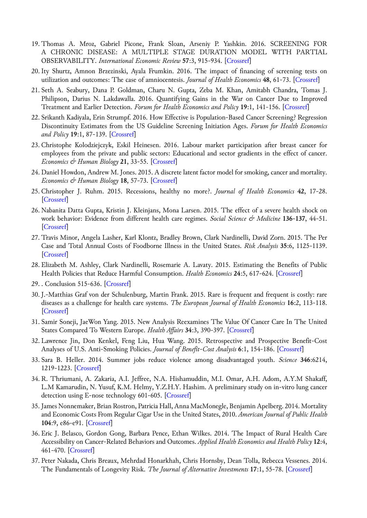- 19. Thomas A. Mroz, Gabriel Picone, Frank Sloan, Arseniy P. Yashkin. 2016. SCREENING FOR A CHRONIC DISEASE: A MULTIPLE STAGE DURATION MODEL WITH PARTIAL OBSERVABILITY. *International Economic Review* **57**:3, 915-934. [\[Crossref](https://doi.org/10.1111/iere.12180)]
- 20. Ity Shurtz, Amnon Brzezinski, Ayala Frumkin. 2016. The impact of financing of screening tests on utilization and outcomes: The case of amniocentesis. *Journal of Health Economics* **48**, 61-73. [[Crossref](https://doi.org/10.1016/j.jhealeco.2016.02.001)]
- 21. Seth A. Seabury, Dana P. Goldman, Charu N. Gupta, Zeba M. Khan, Amitabh Chandra, Tomas J. Philipson, Darius N. Lakdawalla. 2016. Quantifying Gains in the War on Cancer Due to Improved Treatment and Earlier Detection. *Forum for Health Economics and Policy* **19**:1, 141-156. [[Crossref\]](https://doi.org/10.1515/fhep-2015-0028)
- 22. Srikanth Kadiyala, Erin Strumpf. 2016. How Effective is Population-Based Cancer Screening? Regression Discontinuity Estimates from the US Guideline Screening Initiation Ages. *Forum for Health Economics and Policy* **19**:1, 87-139. [\[Crossref](https://doi.org/10.1515/fhep-2014-0014)]
- 23. Christophe Kolodziejczyk, Eskil Heinesen. 2016. Labour market participation after breast cancer for employees from the private and public sectors: Educational and sector gradients in the effect of cancer. *Economics & Human Biology* **21**, 33-55. [\[Crossref](https://doi.org/10.1016/j.ehb.2015.12.002)]
- 24.Daniel Howdon, Andrew M. Jones. 2015. A discrete latent factor model for smoking, cancer and mortality. *Economics & Human Biology* **18**, 57-73. [\[Crossref](https://doi.org/10.1016/j.ehb.2015.03.004)]
- 25. Christopher J. Ruhm. 2015. Recessions, healthy no more?. *Journal of Health Economics* **42**, 17-28. [\[Crossref](https://doi.org/10.1016/j.jhealeco.2015.03.004)]
- 26. Nabanita Datta Gupta, Kristin J. Kleinjans, Mona Larsen. 2015. The effect of a severe health shock on work behavior: Evidence from different health care regimes. *Social Science & Medicine* **136-137**, 44-51. [\[Crossref](https://doi.org/10.1016/j.socscimed.2015.05.008)]
- 27. Travis Minor, Angela Lasher, Karl Klontz, Bradley Brown, Clark Nardinelli, David Zorn. 2015. The Per Case and Total Annual Costs of Foodborne Illness in the United States. *Risk Analysis* **35**:6, 1125-1139. [\[Crossref](https://doi.org/10.1111/risa.12316)]
- 28. Elizabeth M. Ashley, Clark Nardinelli, Rosemarie A. Lavaty. 2015. Estimating the Benefits of Public Health Policies that Reduce Harmful Consumption. *Health Economics* **24**:5, 617-624. [\[Crossref](https://doi.org/10.1002/hec.3040)]
- 29. . Conclusion 515-636. [\[Crossref](https://doi.org/10.1002/9781119120940.ch12)]
- 30. J.-Matthias Graf von der Schulenburg, Martin Frank. 2015. Rare is frequent and frequent is costly: rare diseases as a challenge for health care systems. *The European Journal of Health Economics* **16**:2, 113-118. [\[Crossref](https://doi.org/10.1007/s10198-014-0639-8)]
- 31. Samir Soneji, JaeWon Yang. 2015. New Analysis Reexamines The Value Of Cancer Care In The United States Compared To Western Europe. *Health Affairs* **34**:3, 390-397. [\[Crossref](https://doi.org/10.1377/hlthaff.2014.0174)]
- 32. Lawrence Jin, Don Kenkel, Feng Liu, Hua Wang. 2015. Retrospective and Prospective Benefit-Cost Analyses of U.S. Anti-Smoking Policies. *Journal of Benefit-Cost Analysis* **6**:1, 154-186. [\[Crossref](https://doi.org/10.1017/bca.2014.1)]
- 33. Sara B. Heller. 2014. Summer jobs reduce violence among disadvantaged youth. *Science* **346**:6214, 1219-1223. [[Crossref\]](https://doi.org/10.1126/science.1257809)
- 34. R. Thriumani, A. Zakaria, A.I. Jeffree, N.A. Hishamuddin, M.I. Omar, A.H. Adom, A.Y.M Shakaff, L.M Kamarudin, N. Yusuf, K.M. Helmy, Y.Z.H.Y. Hashim. A preliminary study on in-vitro lung cancer detection using E-nose technology 601-605. [[Crossref\]](https://doi.org/10.1109/ICCSCE.2014.7072789)
- 35. James Nonnemaker, Brian Rostron, Patricia Hall, Anna MacMonegle, Benjamin Apelberg. 2014. Mortality and Economic Costs From Regular Cigar Use in the United States, 2010. *American Journal of Public Health* **104**:9, e86-e91. [\[Crossref](https://doi.org/10.2105/AJPH.2014.301991)]
- 36. Eric J. Belasco, Gordon Gong, Barbara Pence, Ethan Wilkes. 2014. The Impact of Rural Health Care Accessibility on Cancer-Related Behaviors and Outcomes. *Applied Health Economics and Health Policy* **12**:4, 461-470. [\[Crossref\]](https://doi.org/10.1007/s40258-014-0099-4)
- 37. Peter Nakada, Chris Breaux, Mehrdad Honarkhah, Chris Hornsby, Dean Tolla, Rebecca Vessenes. 2014. The Fundamentals of Longevity Risk. *The Journal of Alternative Investments* **17**:1, 55-78. [\[Crossref](https://doi.org/10.3905/jai.2014.17.1.055)]